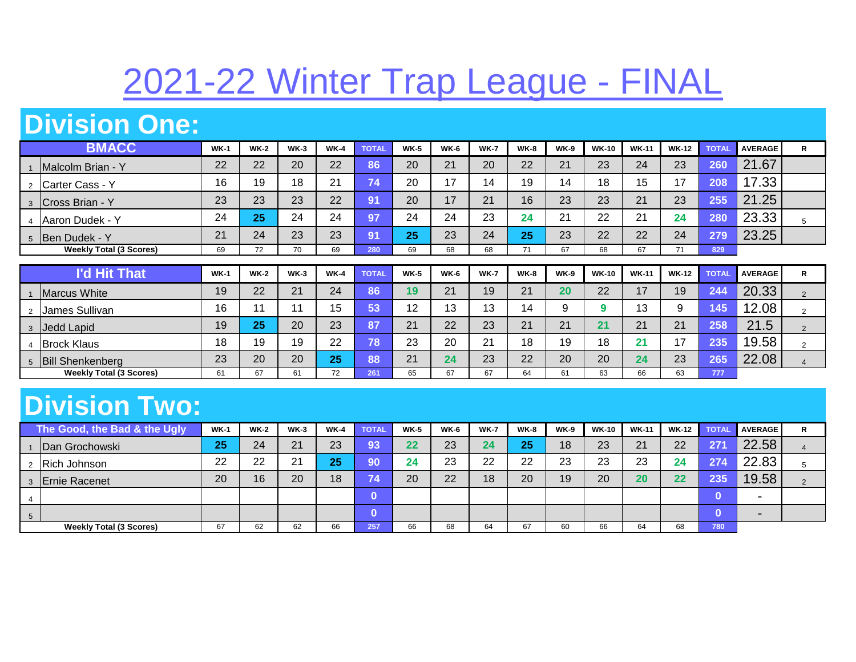## 2021-22 Winter Trap League - FINAL

## **Division One:**

| <b>BMACC</b>                   | <b>WK-1</b> | $WK-2$ | $WK-3$ | <b>WK-4</b> | <b>TOTAL</b> | <b>WK-5</b> | <b>WK-6</b> | <b>WK-7</b> | <b>WK-8</b> | <b>WK-9</b> | <b>WK-10</b> | <b>WK-11</b> | <b>WK-12</b> | <b>TOTAL</b> | <b>AVERAGE</b> | R |
|--------------------------------|-------------|--------|--------|-------------|--------------|-------------|-------------|-------------|-------------|-------------|--------------|--------------|--------------|--------------|----------------|---|
| Malcolm Brian - Y              | 22          | 22     | 20     | 22          | 86           | 20          | 21          | 20          | 22          | 21          | 23           | 24           | 23           | 260          | 21.67          |   |
| 2 Carter Cass - Y              | 16          | 19     | 18     | 21          | 74           | 20          | 17          | 14          | 19          | 14          | 18           | 15           | 17           | 208          | 17.33          |   |
| 3 Cross Brian - Y              | 23          | 23     | 23     | 22          | /91          | 20          | 17          | 21          | 16          | 23          | 23           | 21           | 23           | 255          | 21.25          |   |
| 4 Aaron Dudek - Y              | 24          | 25     | 24     | 24          | /97          | 24          | 24          | 23          | 24          | 21          | 22           | 21           | 24           | 280          | 23.33          |   |
| 5 Ben Dudek - Y                | 21          | 24     | 23     | 23          | 91           | 25          | 23          | 24          | 25          | 23          | 22           | 22           | 24           | 279          | 23.25          |   |
| <b>Weekly Total (3 Scores)</b> | 69          | 72     | 70     | 69          | 280          | 69          | 68          | 68          | 71          | 67          | 68           | 67           | 71           | 829          |                |   |

| <b>I'd Hit That</b>            | $WK-1$ | <b>WK-2</b> | $WK-3$ | $WK-4$ | <b>TOTAL</b> | $WK-5$ | <b>WK-6</b> | <b>WK-7</b> | <b>WK-8</b> | <b>WK-9</b> | <b>WK-10</b> | <b>WK-11</b> | <b>WK-12</b> | <b>TOTAL</b>  | <b>AVERAGE</b> | R |
|--------------------------------|--------|-------------|--------|--------|--------------|--------|-------------|-------------|-------------|-------------|--------------|--------------|--------------|---------------|----------------|---|
| Marcus White                   | 19     | 22          | 21     | 24     | 86           | 19     | 21          | 19          | $\Omega$    | 20          | 22           | 17           | 19           | 244           | 20.33          |   |
| James Sullivan                 | 16     |             |        | 15     | 53           | 12     | 13          | 13          | 14          |             |              | 12<br>ر ا    |              | 145           | 12.08          |   |
| Jedd Lapid                     | 19     | 25          | 20     | 23     | $\sim$<br>ŏ1 | 21     | 22          | 23          | $\Omega$    | 21          | 21           | 21           | 21           | 258           | 21.5           |   |
| <b>Brock Klaus</b>             | 18     | 19          | 19     | 22     | 78'          | 23     | 20          | 21          | 18          | 19          | 18           | 21           | 17           | 235           | 19.58          |   |
| <b>Bill Shenkenberg</b>        | 23     | 20          | 20     | 25     | 88           | 21     | 24          | 23          | 22          | 20          | 20           | 24           | 23           | $\sim$<br>205 | 22.08          |   |
| <b>Weekly Total (3 Scores)</b> | 61     | 67          | 61     | 72     | 261          | 65     | 67          | 67          | 64          | 61          | 63           | 66           | 63           | 777           |                |   |

## **Division Two:**

|                | The Good, the Bad & the Ugly   | <b>WK-1</b> | $WK-2$ | $WK-3$ | $WK-4$ | <b>TOTAL</b> | $WK-5$ | <b>WK-6</b> | <b>WK-7</b> | <b>WK-8</b> | <b>WK-9</b> | <b>WK-10</b> | <b>WK-11</b> | <b>WK-12</b> | <b>TOTAL</b> | <b>AVERAGE</b>           | R |
|----------------|--------------------------------|-------------|--------|--------|--------|--------------|--------|-------------|-------------|-------------|-------------|--------------|--------------|--------------|--------------|--------------------------|---|
|                | Dan Grochowski                 | 25          | 24     | 21     | 23     | 93           | 22     | 23          | 24          | 25          | 18          | 23           | 21           | 22           | 27'          | 22.58                    |   |
|                | 2 Rich Johnson                 | 22          | 22     | 21     | 25     | 90           | 24     | 23          | 22          | つつ          | 23          | 23           | 23           | 24           | 274          | 22.83                    |   |
|                | 3 Ernie Racenet                | 20          | 16     | 20     | 18     | <b>74</b>    | 20     | 22          | 18          | 20          | 19          | 20           | 20           | 22           | 235          | 19.58                    |   |
| 4              |                                |             |        |        |        |              |        |             |             |             |             |              |              |              |              | $\overline{\phantom{0}}$ |   |
| 5 <sup>5</sup> |                                |             |        |        |        |              |        |             |             |             |             |              |              |              |              | $\blacksquare$           |   |
|                | <b>Weekly Total (3 Scores)</b> | 67          | 62     | 62     | 66     | 257          | 66     | 68          | 64          | 67          | 60          | 66           | 64           | 68           | 780          |                          |   |